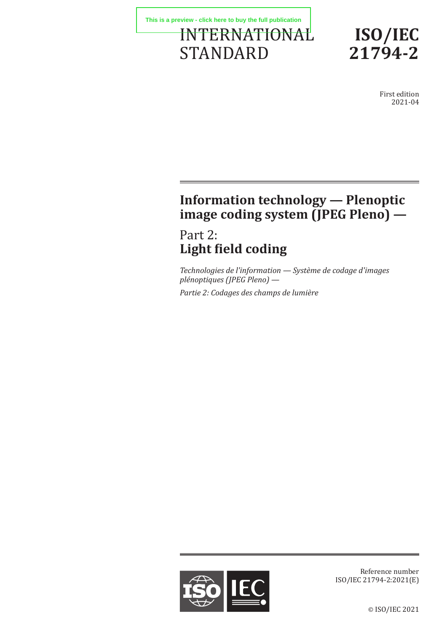



First edition 2021-04

# **Information technology — Plenoptic image coding system (JPEG Pleno) —**

# Part 2: **Light field coding**

*Technologies de l'information — Système de codage d'images plénoptiques (JPEG Pleno) —*

*Partie 2: Codages des champs de lumière*



Reference number ISO/IEC 21794-2:2021(E)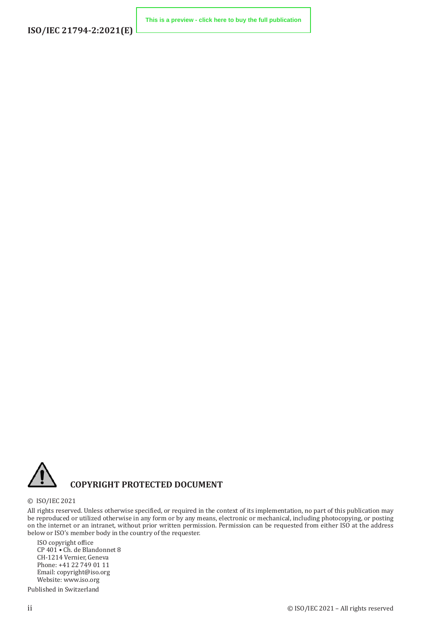

### **COPYRIGHT PROTECTED DOCUMENT**

© ISO/IEC 2021

All rights reserved. Unless otherwise specified, or required in the context of its implementation, no part of this publication may be reproduced or utilized otherwise in any form or by any means, electronic or mechanical, including photocopying, or posting on the internet or an intranet, without prior written permission. Permission can be requested from either ISO at the address below or ISO's member body in the country of the requester.

ISO copyright office CP 401 • Ch. de Blandonnet 8 CH-1214 Vernier, Geneva Phone: +41 22 749 01 11 Email: copyright@iso.org Website: www.iso.org

Published in Switzerland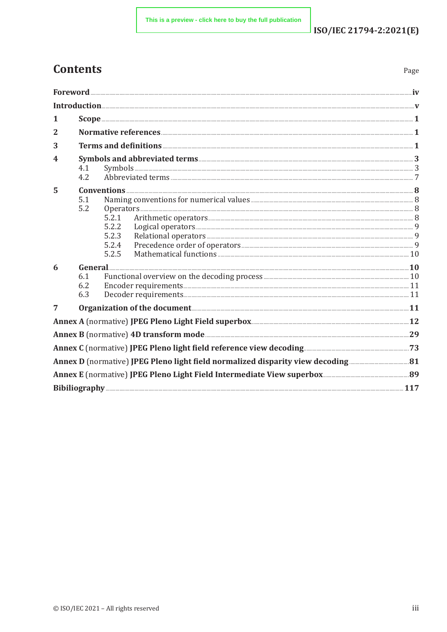## **Contents**

| ×<br>۰, |
|---------|
|---------|

| 1      |                   |                                                            |  |  |
|--------|-------------------|------------------------------------------------------------|--|--|
| 2      |                   |                                                            |  |  |
| 3      |                   |                                                            |  |  |
| 4      | 4.1               |                                                            |  |  |
|        | 4.2               |                                                            |  |  |
| 5<br>6 | 5.1<br>5.2        | 5.2.1<br>5.2.2<br>5.2.3<br>5.2.4<br>5.2.5                  |  |  |
|        | 6.1<br>6.2<br>6.3 |                                                            |  |  |
| 7      |                   | Organization of the document <b>Exercise Accommodal</b> 11 |  |  |
|        |                   |                                                            |  |  |
|        |                   |                                                            |  |  |
|        |                   |                                                            |  |  |
|        |                   |                                                            |  |  |
|        |                   |                                                            |  |  |
|        |                   |                                                            |  |  |
|        |                   |                                                            |  |  |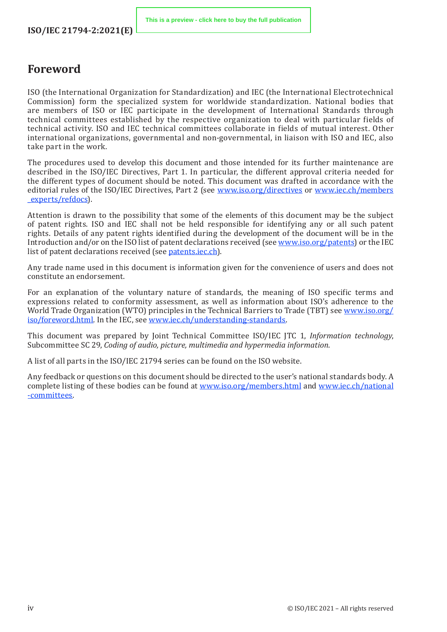### <span id="page-3-0"></span>**Foreword**

ISO (the International Organization for Standardization) and IEC (the International Electrotechnical Commission) form the specialized system for worldwide standardization. National bodies that are members of ISO or IEC participate in the development of International Standards through technical committees established by the respective organization to deal with particular fields of technical activity. ISO and IEC technical committees collaborate in fields of mutual interest. Other international organizations, governmental and non-governmental, in liaison with ISO and IEC, also take part in the work.

The procedures used to develop this document and those intended for its further maintenance are described in the ISO/IEC Directives, Part 1. In particular, the different approval criteria needed for the different types of document should be noted. This document was drafted in accordance with the editorial rules of the ISO/IEC Directives, Part 2 (see [www.iso.org/directives](http://www.iso.org/directives) or [www.iec.ch/members](http://www.iec.ch/members_experts/refdocs) [\\_experts/](http://www.iec.ch/members_experts/refdocs)refdocs).

Attention is drawn to the possibility that some of the elements of this document may be the subject of patent rights. ISO and IEC shall not be held responsible for identifying any or all such patent rights. Details of any patent rights identified during the development of the document will be in the Introduction and/or on the ISO list of patent declarations received (see [www.iso.org/patents\)](https://www.iso.org/iso-standards-and-patents.html) or the IEC list of patent declarations received (see [patents.iec.ch](https://patents.iec.ch)).

Any trade name used in this document is information given for the convenience of users and does not constitute an endorsement.

For an explanation of the voluntary nature of standards, the meaning of ISO specific terms and expressions related to conformity assessment, as well as information about ISO's adherence to the World Trade Organization (WTO) principles in the Technical Barriers to Trade (TBT) see [www.iso.org/](http://www.iso.org/iso/foreword.html) [iso/foreword.html](http://www.iso.org/iso/foreword.html). In the IEC, see [www.iec.ch/understanding-standards.](https://www.iec.ch/understanding-standards)

This document was prepared by Joint Technical Committee ISO/IEC JTC 1, *Information technology*, Subcommittee SC 29, *Coding of audio, picture, multimedia and hypermedia information*.

A list of all parts in the ISO/IEC 21794 series can be found on the ISO website.

Any feedback or questions on this document should be directed to the user's national standards body. A complete listing of these bodies can be found at [www.iso.org/members.html](http://www.iso.org/members.html) and [www.iec.ch/national](http://www.iec.ch/national-committees) [-committees.](http://www.iec.ch/national-committees)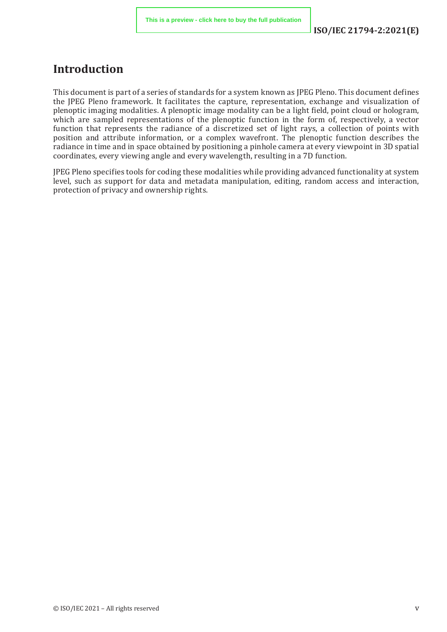## <span id="page-4-0"></span>**Introduction**

This document is part of a series of standards for a system known as JPEG Pleno. This document defines the JPEG Pleno framework. It facilitates the capture, representation, exchange and visualization of plenoptic imaging modalities. A plenoptic image modality can be a light field, point cloud or hologram, which are sampled representations of the plenoptic function in the form of, respectively, a vector function that represents the radiance of a discretized set of light rays, a collection of points with position and attribute information, or a complex wavefront. The plenoptic function describes the radiance in time and in space obtained by positioning a pinhole camera at every viewpoint in 3D spatial coordinates, every viewing angle and every wavelength, resulting in a 7D function.

JPEG Pleno specifies tools for coding these modalities while providing advanced functionality at system level, such as support for data and metadata manipulation, editing, random access and interaction, protection of privacy and ownership rights.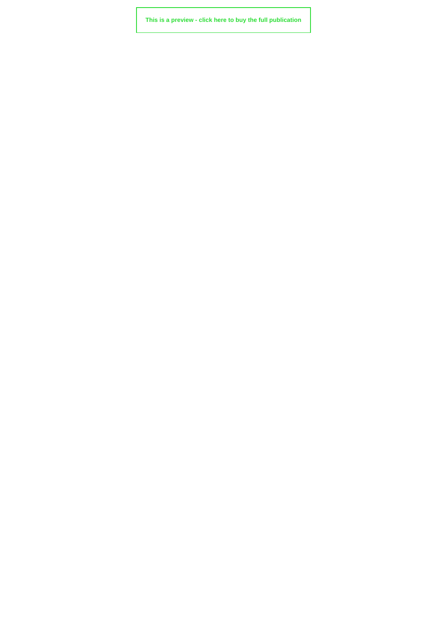**[This is a preview - click here to buy the full publication](https://webstore.iec.ch/publication/68850&preview)**